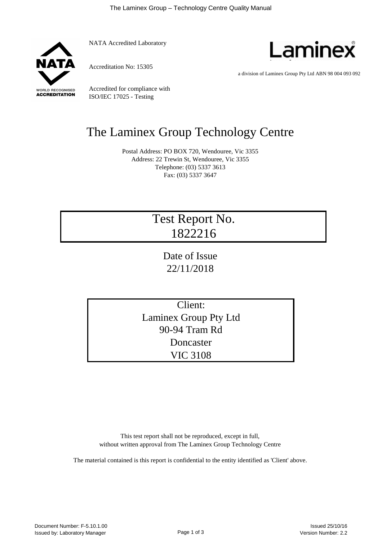

NATA Accredited Laboratory

Accreditation No: 15305



a division of Laminex Group Pty Ltd ABN 98 004 093 092

Accredited for compliance with ISO/IEC 17025 - Testing

## The Laminex Group Technology Centre

Postal Address: PO BOX 720, Wendouree, Vic 3355 Address: 22 Trewin St, Wendouree, Vic 3355 Telephone: (03) 5337 3613 Fax: (03) 5337 3647

## Test Report No. 1822216

Date of Issue 22/11/2018

Client: Laminex Group Pty Ltd 90-94 Tram Rd Doncaster VIC 3108

This test report shall not be reproduced, except in full, without written approval from The Laminex Group Technology Centre

The material contained is this report is confidential to the entity identified as 'Client' above.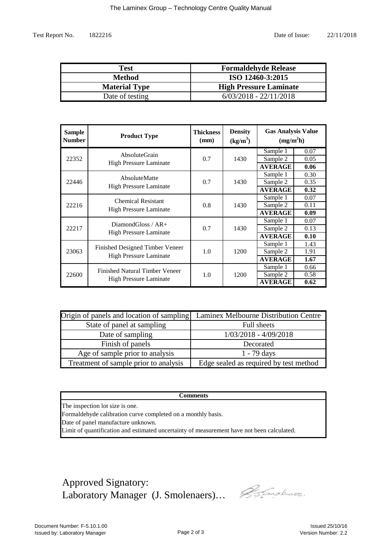Test Report No.

| Test                 | <b>Formaldehyde Release</b>   |
|----------------------|-------------------------------|
| <b>Method</b>        | ISO 12460-3:2015              |
| <b>Material Type</b> | <b>High Pressure Laminate</b> |
| Date of testing      | $6/03/2018 - 22/11/2018$      |

| <b>Sample</b><br><b>Number</b> | <b>Product Type</b>                                                    | <b>Thickness</b><br>(mm) | <b>Density</b><br>$(kg/m^3)$ | <b>Gas Analysis Value</b><br>(mg/m <sup>2</sup> h) |      |
|--------------------------------|------------------------------------------------------------------------|--------------------------|------------------------------|----------------------------------------------------|------|
|                                | AbsoluteGrain<br><b>High Pressure Laminate</b>                         | 0.7                      | 1430                         | Sample 1                                           | 0.07 |
| 22352                          |                                                                        |                          |                              | Sample 2                                           | 0.05 |
|                                |                                                                        |                          |                              | <b>AVERAGE</b>                                     | 0.06 |
| 22446                          | AbsoluteMatte<br><b>High Pressure Laminate</b>                         | 0.7                      | 1430                         | Sample 1                                           | 0.30 |
|                                |                                                                        |                          |                              | Sample 2                                           | 0.35 |
|                                |                                                                        |                          |                              | <b>AVERAGE</b>                                     | 0.32 |
| 22216                          | <b>Chemical Resistant</b><br><b>High Pressure Laminate</b>             | 0.8                      | 1430                         | Sample 1                                           | 0.07 |
|                                |                                                                        |                          |                              | Sample 2                                           | 0.11 |
|                                |                                                                        |                          |                              | <b>AVERAGE</b>                                     | 0.09 |
|                                | Diamond Gloss / $AR+$<br><b>High Pressure Laminate</b>                 | 0.7                      | 1430                         | Sample 1                                           | 0.07 |
| 22217                          |                                                                        |                          |                              | Sample 2                                           | 0.13 |
|                                |                                                                        |                          |                              | <b>AVERAGE</b>                                     | 0.10 |
|                                | Finished Designed Timber Veneer<br><b>High Pressure Laminate</b>       | 1.0                      | 1200                         | Sample 1                                           | 1.43 |
| 23063                          |                                                                        |                          |                              | Sample 2                                           | 1.91 |
|                                |                                                                        |                          |                              | <b>AVERAGE</b>                                     | 1.67 |
| 22600                          | <b>Finished Natural Timber Veneer</b><br><b>High Pressure Laminate</b> | 1.0                      | 1200                         | Sample 1                                           | 0.66 |
|                                |                                                                        |                          |                              | Sample 2                                           | 0.58 |
|                                |                                                                        |                          |                              | <b>AVERAGE</b>                                     | 0.62 |

| Origin of panels and location of sampling | Laminex Melbourne Distribution Centre  |  |  |
|-------------------------------------------|----------------------------------------|--|--|
| State of panel at sampling                | Full sheets                            |  |  |
| Date of sampling                          | $1/03/2018 - 4/09/2018$                |  |  |
| Finish of panels                          | Decorated                              |  |  |
| Age of sample prior to analysis           | $1 - 79$ days                          |  |  |
| Treatment of sample prior to analysis     | Edge sealed as required by test method |  |  |

## **Comments**

The inspection lot size is one.

Formaldehyde calibration curve completed on a monthly basis.

Date of panel manufacture unknown.

Limit of quantification and estimated uncertainty of measurement have not been calculated.

Approved Signatory: Laboratory Manager (J. Smolenaers)…